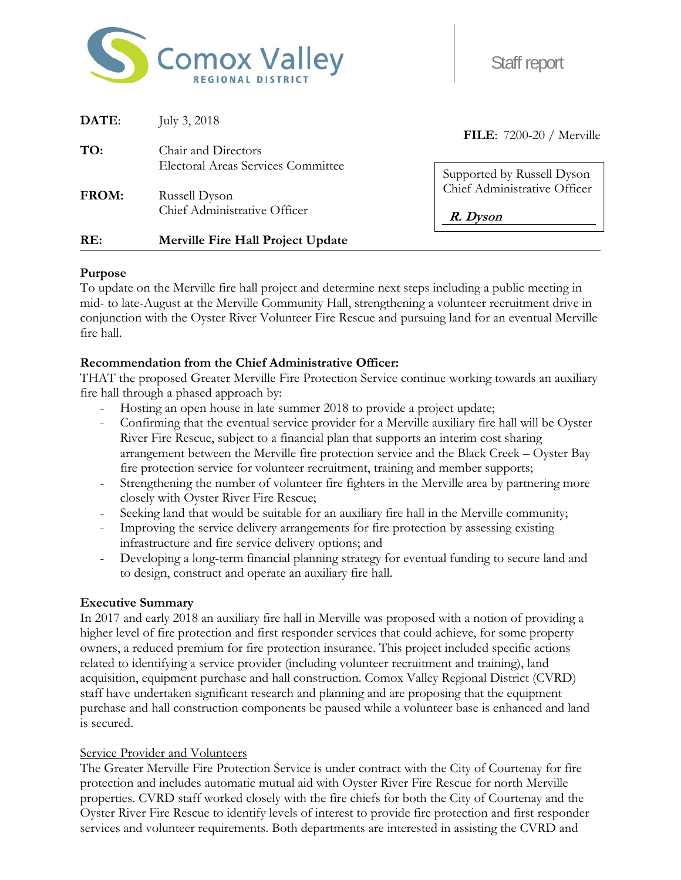

Staff report

| DATE:        | July 3, $2018$                                             | <b>FILE:</b> 7200-20 / Merville                            |  |
|--------------|------------------------------------------------------------|------------------------------------------------------------|--|
| TO:          | Chair and Directors                                        |                                                            |  |
| <b>FROM:</b> | <b>Electoral Areas Services Committee</b><br>Russell Dyson | Supported by Russell Dyson<br>Chief Administrative Officer |  |
|              | Chief Administrative Officer                               | R. Dyson                                                   |  |
| RE:          | Merville Fire Hall Project Update                          |                                                            |  |

#### **Purpose**

To update on the Merville fire hall project and determine next steps including a public meeting in mid- to late-August at the Merville Community Hall, strengthening a volunteer recruitment drive in conjunction with the Oyster River Volunteer Fire Rescue and pursuing land for an eventual Merville fire hall.

### **Recommendation from the Chief Administrative Officer:**

THAT the proposed Greater Merville Fire Protection Service continue working towards an auxiliary fire hall through a phased approach by:

- Hosting an open house in late summer 2018 to provide a project update;
- Confirming that the eventual service provider for a Merville auxiliary fire hall will be Oyster River Fire Rescue, subject to a financial plan that supports an interim cost sharing arrangement between the Merville fire protection service and the Black Creek – Oyster Bay fire protection service for volunteer recruitment, training and member supports;
- Strengthening the number of volunteer fire fighters in the Merville area by partnering more closely with Oyster River Fire Rescue;
- Seeking land that would be suitable for an auxiliary fire hall in the Merville community;
- Improving the service delivery arrangements for fire protection by assessing existing infrastructure and fire service delivery options; and
- Developing a long-term financial planning strategy for eventual funding to secure land and to design, construct and operate an auxiliary fire hall.

### **Executive Summary**

In 2017 and early 2018 an auxiliary fire hall in Merville was proposed with a notion of providing a higher level of fire protection and first responder services that could achieve, for some property owners, a reduced premium for fire protection insurance. This project included specific actions related to identifying a service provider (including volunteer recruitment and training), land acquisition, equipment purchase and hall construction. Comox Valley Regional District (CVRD) staff have undertaken significant research and planning and are proposing that the equipment purchase and hall construction components be paused while a volunteer base is enhanced and land is secured.

#### Service Provider and Volunteers

The Greater Merville Fire Protection Service is under contract with the City of Courtenay for fire protection and includes automatic mutual aid with Oyster River Fire Rescue for north Merville properties. CVRD staff worked closely with the fire chiefs for both the City of Courtenay and the Oyster River Fire Rescue to identify levels of interest to provide fire protection and first responder services and volunteer requirements. Both departments are interested in assisting the CVRD and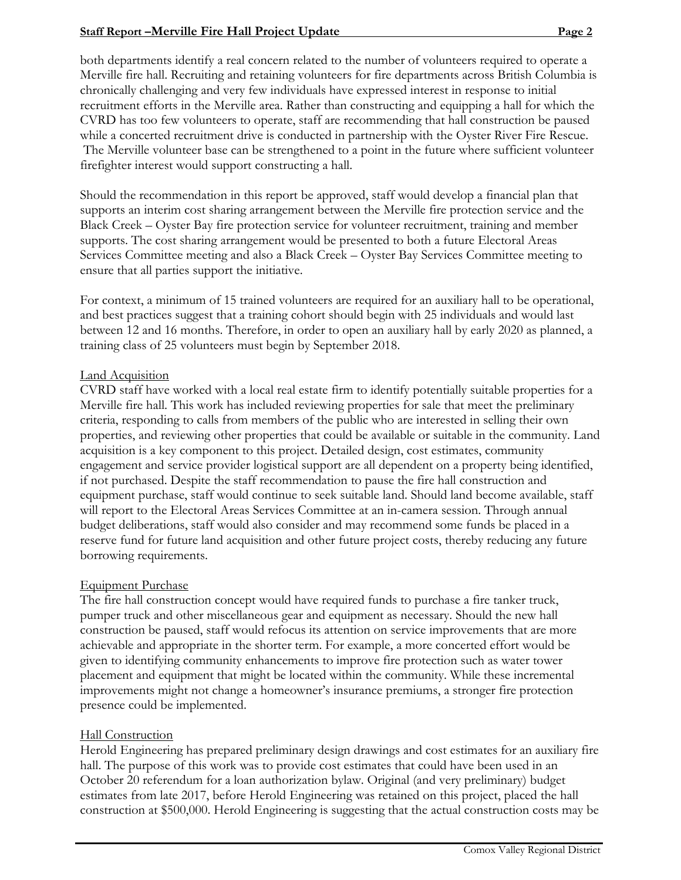# **Staff Report –Merville Fire Hall Project Update Page 2 Page 2 Page 2**

both departments identify a real concern related to the number of volunteers required to operate a Merville fire hall. Recruiting and retaining volunteers for fire departments across British Columbia is chronically challenging and very few individuals have expressed interest in response to initial recruitment efforts in the Merville area. Rather than constructing and equipping a hall for which the CVRD has too few volunteers to operate, staff are recommending that hall construction be paused while a concerted recruitment drive is conducted in partnership with the Oyster River Fire Rescue. The Merville volunteer base can be strengthened to a point in the future where sufficient volunteer firefighter interest would support constructing a hall.

Should the recommendation in this report be approved, staff would develop a financial plan that supports an interim cost sharing arrangement between the Merville fire protection service and the Black Creek – Oyster Bay fire protection service for volunteer recruitment, training and member supports. The cost sharing arrangement would be presented to both a future Electoral Areas Services Committee meeting and also a Black Creek – Oyster Bay Services Committee meeting to ensure that all parties support the initiative.

For context, a minimum of 15 trained volunteers are required for an auxiliary hall to be operational, and best practices suggest that a training cohort should begin with 25 individuals and would last between 12 and 16 months. Therefore, in order to open an auxiliary hall by early 2020 as planned, a training class of 25 volunteers must begin by September 2018.

### **Land Acquisition**

CVRD staff have worked with a local real estate firm to identify potentially suitable properties for a Merville fire hall. This work has included reviewing properties for sale that meet the preliminary criteria, responding to calls from members of the public who are interested in selling their own properties, and reviewing other properties that could be available or suitable in the community. Land acquisition is a key component to this project. Detailed design, cost estimates, community engagement and service provider logistical support are all dependent on a property being identified, if not purchased. Despite the staff recommendation to pause the fire hall construction and equipment purchase, staff would continue to seek suitable land. Should land become available, staff will report to the Electoral Areas Services Committee at an in-camera session. Through annual budget deliberations, staff would also consider and may recommend some funds be placed in a reserve fund for future land acquisition and other future project costs, thereby reducing any future borrowing requirements.

### Equipment Purchase

The fire hall construction concept would have required funds to purchase a fire tanker truck, pumper truck and other miscellaneous gear and equipment as necessary. Should the new hall construction be paused, staff would refocus its attention on service improvements that are more achievable and appropriate in the shorter term. For example, a more concerted effort would be given to identifying community enhancements to improve fire protection such as water tower placement and equipment that might be located within the community. While these incremental improvements might not change a homeowner's insurance premiums, a stronger fire protection presence could be implemented.

### Hall Construction

Herold Engineering has prepared preliminary design drawings and cost estimates for an auxiliary fire hall. The purpose of this work was to provide cost estimates that could have been used in an October 20 referendum for a loan authorization bylaw. Original (and very preliminary) budget estimates from late 2017, before Herold Engineering was retained on this project, placed the hall construction at \$500,000. Herold Engineering is suggesting that the actual construction costs may be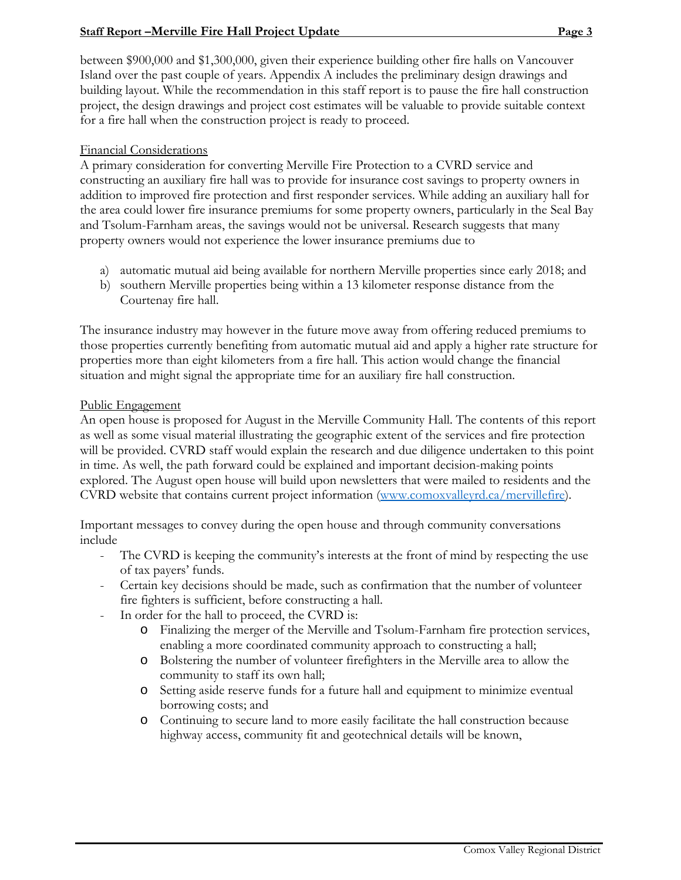# **Staff Report –Merville Fire Hall Project Update Page 3 Page 3**

between \$900,000 and \$1,300,000, given their experience building other fire halls on Vancouver Island over the past couple of years. Appendix A includes the preliminary design drawings and building layout. While the recommendation in this staff report is to pause the fire hall construction project, the design drawings and project cost estimates will be valuable to provide suitable context for a fire hall when the construction project is ready to proceed.

### Financial Considerations

A primary consideration for converting Merville Fire Protection to a CVRD service and constructing an auxiliary fire hall was to provide for insurance cost savings to property owners in addition to improved fire protection and first responder services. While adding an auxiliary hall for the area could lower fire insurance premiums for some property owners, particularly in the Seal Bay and Tsolum-Farnham areas, the savings would not be universal. Research suggests that many property owners would not experience the lower insurance premiums due to

- a) automatic mutual aid being available for northern Merville properties since early 2018; and
- b) southern Merville properties being within a 13 kilometer response distance from the Courtenay fire hall.

The insurance industry may however in the future move away from offering reduced premiums to those properties currently benefiting from automatic mutual aid and apply a higher rate structure for properties more than eight kilometers from a fire hall. This action would change the financial situation and might signal the appropriate time for an auxiliary fire hall construction.

### Public Engagement

An open house is proposed for August in the Merville Community Hall. The contents of this report as well as some visual material illustrating the geographic extent of the services and fire protection will be provided. CVRD staff would explain the research and due diligence undertaken to this point in time. As well, the path forward could be explained and important decision-making points explored. The August open house will build upon newsletters that were mailed to residents and the CVRD website that contains current project information (www.comoxvalleyrd.ca/mervillefire).

Important messages to convey during the open house and through community conversations include

- The CVRD is keeping the community's interests at the front of mind by respecting the use of tax payers' funds.
- Certain key decisions should be made, such as confirmation that the number of volunteer fire fighters is sufficient, before constructing a hall.
- In order for the hall to proceed, the CVRD is:
	- o Finalizing the merger of the Merville and Tsolum-Farnham fire protection services, enabling a more coordinated community approach to constructing a hall;
	- o Bolstering the number of volunteer firefighters in the Merville area to allow the community to staff its own hall;
	- o Setting aside reserve funds for a future hall and equipment to minimize eventual borrowing costs; and
	- o Continuing to secure land to more easily facilitate the hall construction because highway access, community fit and geotechnical details will be known,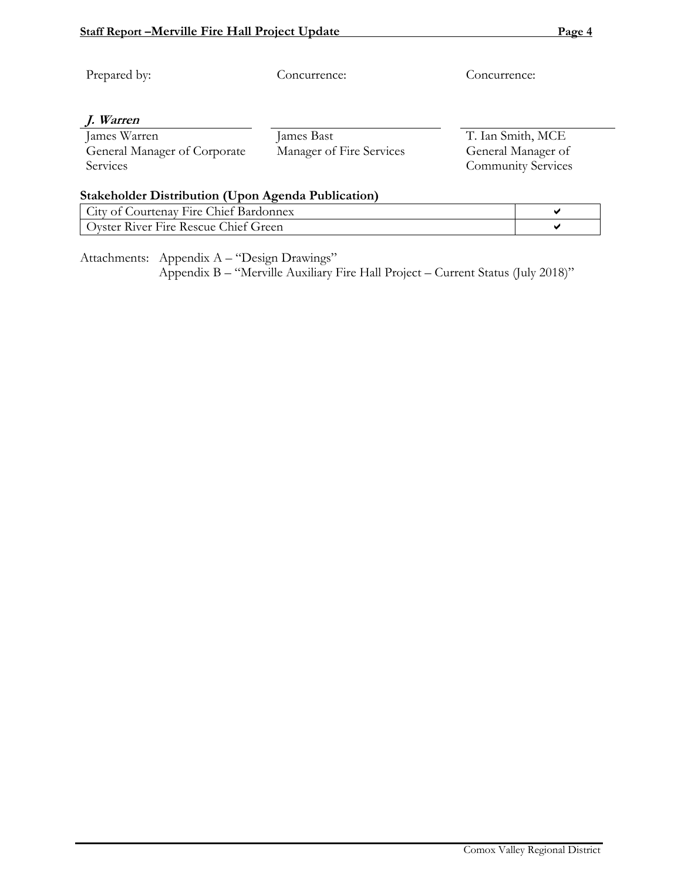| Prepared by:                                              | Concurrence:             | Concurrence:              |                   |  |  |  |  |
|-----------------------------------------------------------|--------------------------|---------------------------|-------------------|--|--|--|--|
| J. Warren                                                 |                          |                           |                   |  |  |  |  |
| James Warren                                              | James Bast               |                           | T. Ian Smith, MCE |  |  |  |  |
| General Manager of Corporate                              | Manager of Fire Services | General Manager of        |                   |  |  |  |  |
| Services                                                  |                          | <b>Community Services</b> |                   |  |  |  |  |
|                                                           |                          |                           |                   |  |  |  |  |
| <b>Stakeholder Distribution (Upon Agenda Publication)</b> |                          |                           |                   |  |  |  |  |
| City of Courtenay Fire Chief Bardonnex                    | ✔                        |                           |                   |  |  |  |  |

Oyster River Fire Rescue Chief Green

Attachments: Appendix A – "Design Drawings"

Appendix B – "Merville Auxiliary Fire Hall Project – Current Status (July 2018)"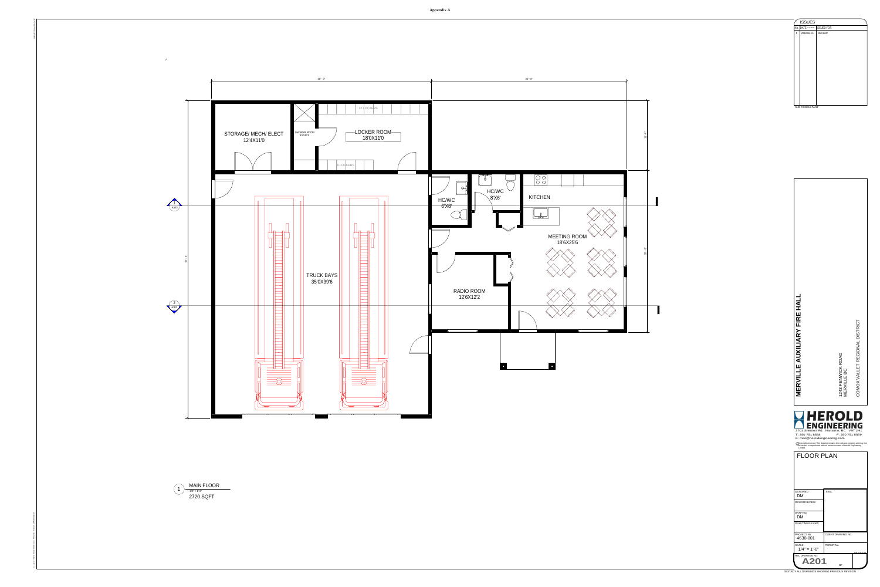26' - 6" 11' - 6"

 $\blacksquare$ 



ARCHITECTURAL D 24" x 36"

DESTROY ALL DRAWINGS SHOWING PREVIOUS REVISION

 $1/4" = 1'-0"$ MAIN FLOOR 2720 SQFT





C

\: Local Revit Files\4360-001 Merville Firehal \_l DMatthews.rvt

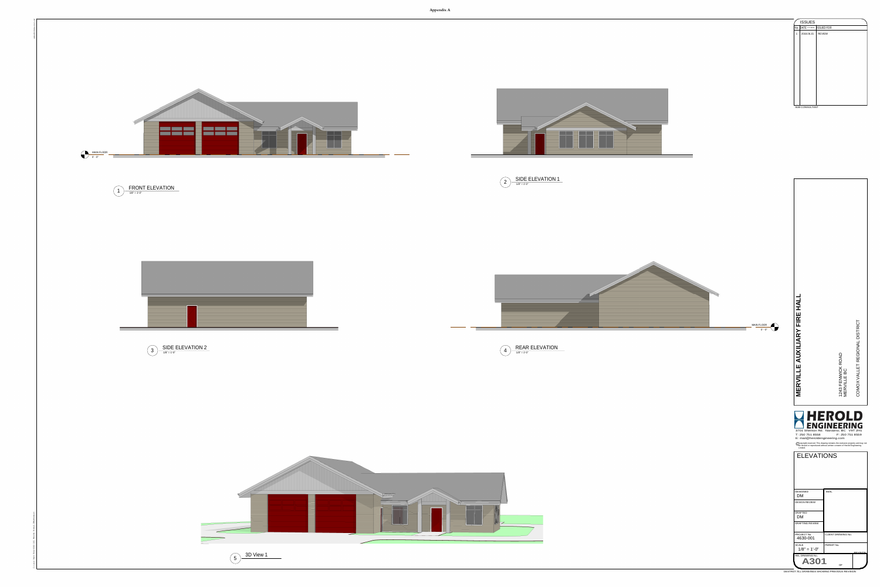

DESTROY ALL DRAWINGS SHOWING PREVIOUS REVISION





|   | <b>ISSUES</b>             |               |  |
|---|---------------------------|---------------|--|
|   | No. DATE <b>WYY.MM.DD</b> | ISSUED FOR    |  |
| 1 | 2018.06.15                | <b>REVIEW</b> |  |
|   |                           |               |  |
|   |                           |               |  |
|   |                           |               |  |
|   |                           |               |  |
|   |                           |               |  |
|   |                           |               |  |
|   |                           |               |  |
|   |                           |               |  |
|   |                           |               |  |
|   |                           |               |  |
|   |                           |               |  |
|   |                           |               |  |
|   |                           |               |  |

C





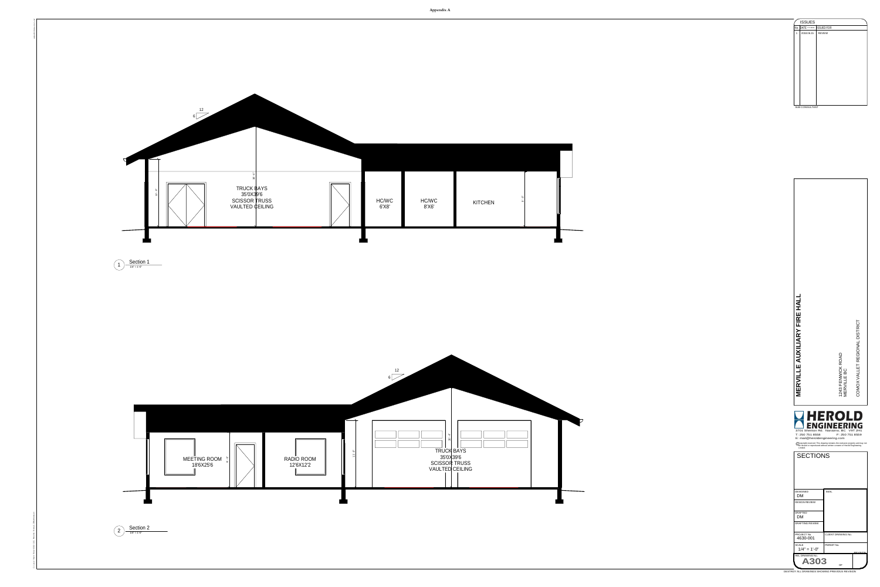ARCHITECTURAL D 24" x 36"

DESTROY ALL DRAWINGS SHOWING PREVIOUS REVISION



|     | <b>ISSUES</b>         |               |
|-----|-----------------------|---------------|
| No. | DATE <b>WYY.MM.DD</b> | ISSUED FOR    |
| 1   | 2018.06.15            | <b>REVIEW</b> |
|     |                       |               |
|     |                       |               |
|     |                       |               |
|     |                       |               |
|     |                       |               |
|     |                       |               |
|     |                       |               |
|     |                       |               |
|     |                       |               |
|     |                       |               |
|     |                       |               |
|     |                       |               |
|     |                       |               |
|     |                       |               |
|     | SUB CONSULTANT        |               |



C

\: Local Revit Files\4360-001 Merville Firehal \_l DMatthews.rvt